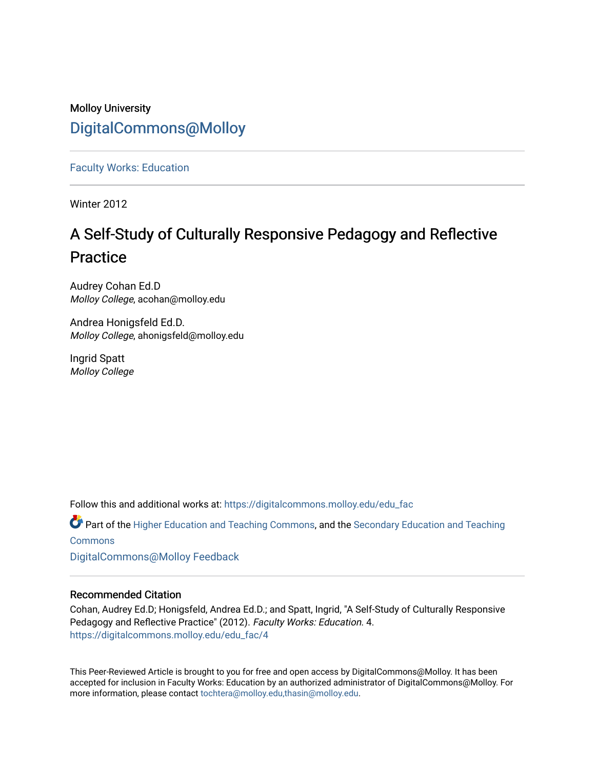## Molloy University [DigitalCommons@Molloy](https://digitalcommons.molloy.edu/)

[Faculty Works: Education](https://digitalcommons.molloy.edu/edu_fac) 

Winter 2012

# A Self-Study of Culturally Responsive Pedagogy and Reflective Practice

Audrey Cohan Ed.D Molloy College, acohan@molloy.edu

Andrea Honigsfeld Ed.D. Molloy College, ahonigsfeld@molloy.edu

Ingrid Spatt Molloy College

Follow this and additional works at: [https://digitalcommons.molloy.edu/edu\\_fac](https://digitalcommons.molloy.edu/edu_fac?utm_source=digitalcommons.molloy.edu%2Fedu_fac%2F4&utm_medium=PDF&utm_campaign=PDFCoverPages)

Part of the [Higher Education and Teaching Commons](https://network.bepress.com/hgg/discipline/806?utm_source=digitalcommons.molloy.edu%2Fedu_fac%2F4&utm_medium=PDF&utm_campaign=PDFCoverPages), and the [Secondary Education and Teaching](https://network.bepress.com/hgg/discipline/809?utm_source=digitalcommons.molloy.edu%2Fedu_fac%2F4&utm_medium=PDF&utm_campaign=PDFCoverPages)  [Commons](https://network.bepress.com/hgg/discipline/809?utm_source=digitalcommons.molloy.edu%2Fedu_fac%2F4&utm_medium=PDF&utm_campaign=PDFCoverPages)

[DigitalCommons@Molloy Feedback](https://molloy.libwizard.com/f/dcfeedback)

## Recommended Citation

Cohan, Audrey Ed.D; Honigsfeld, Andrea Ed.D.; and Spatt, Ingrid, "A Self-Study of Culturally Responsive Pedagogy and Reflective Practice" (2012). Faculty Works: Education. 4. [https://digitalcommons.molloy.edu/edu\\_fac/4](https://digitalcommons.molloy.edu/edu_fac/4?utm_source=digitalcommons.molloy.edu%2Fedu_fac%2F4&utm_medium=PDF&utm_campaign=PDFCoverPages)

This Peer-Reviewed Article is brought to you for free and open access by DigitalCommons@Molloy. It has been accepted for inclusion in Faculty Works: Education by an authorized administrator of DigitalCommons@Molloy. For more information, please contact [tochtera@molloy.edu,thasin@molloy.edu.](mailto:tochtera@molloy.edu,thasin@molloy.edu)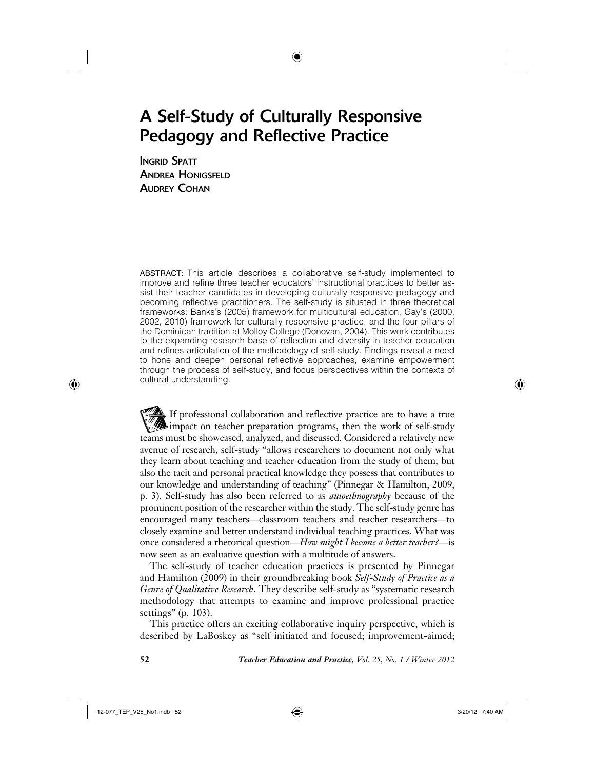## A Self-Study of Culturally Responsive Pedagogy and Reflective Practice

↔

INGRID SPATT ANDREA HONIGSFELD AUDREY COHAN

ABSTRACT: This article describes a collaborative self-study implemented to improve and refine three teacher educators' instructional practices to better assist their teacher candidates in developing culturally responsive pedagogy and becoming reflective practitioners. The self-study is situated in three theoretical frameworks: Banks's (2005) framework for multicultural education, Gay's (2000, 2002, 2010) framework for culturally responsive practice, and the four pillars of the Dominican tradition at Molloy College (Donovan, 2004). This work contributes to the expanding research base of reflection and diversity in teacher education and refines articulation of the methodology of self-study. Findings reveal a need to hone and deepen personal reflective approaches, examine empowerment through the process of self-study, and focus perspectives within the contexts of cultural understanding.

If professional collaboration and reflective practice are to have a true impact on teacher preparation programs, then the work of self-study teams must be showcased, analyzed, and discussed. Considered a relatively new avenue of research, self-study "allows researchers to document not only what they learn about teaching and teacher education from the study of them, but also the tacit and personal practical knowledge they possess that contributes to our knowledge and understanding of teaching" (Pinnegar & Hamilton, 2009, p. 3). Self-study has also been referred to as *autoethnography* because of the prominent position of the researcher within the study. The self-study genre has encouraged many teachers—classroom teachers and teacher researchers—to closely examine and better understand individual teaching practices. What was once considered a rhetorical question—*How might I become a better teacher?—*is now seen as an evaluative question with a multitude of answers.

The self-study of teacher education practices is presented by Pinnegar and Hamilton (2009) in their groundbreaking book *Self-Study of Practice as a Genre of Qualitative Research*. They describe self-study as "systematic research methodology that attempts to examine and improve professional practice settings" (p. 103).

This practice offers an exciting collaborative inquiry perspective, which is described by LaBoskey as "self initiated and focused; improvement-aimed;

⊕

**52** *Teacher Education and Practice, Vol. 25, No. 1 / Winter 2012*

12-077\_TEP\_V25\_No1.indb 52 20/12 7:40 AM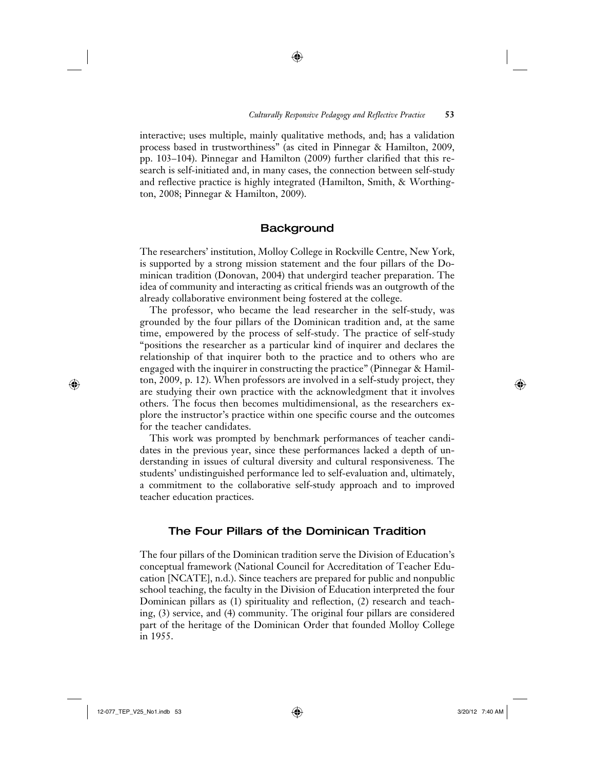interactive; uses multiple, mainly qualitative methods, and; has a validation process based in trustworthiness" (as cited in Pinnegar & Hamilton, 2009, pp. 103–104). Pinnegar and Hamilton (2009) further clarified that this research is self-initiated and, in many cases, the connection between self-study and reflective practice is highly integrated (Hamilton, Smith, & Worthington, 2008; Pinnegar & Hamilton, 2009).

⊕

### **Background**

The researchers' institution, Molloy College in Rockville Centre, New York, is supported by a strong mission statement and the four pillars of the Dominican tradition (Donovan, 2004) that undergird teacher preparation. The idea of community and interacting as critical friends was an outgrowth of the already collaborative environment being fostered at the college.

The professor, who became the lead researcher in the self-study, was grounded by the four pillars of the Dominican tradition and, at the same time, empowered by the process of self-study. The practice of self-study "positions the researcher as a particular kind of inquirer and declares the relationship of that inquirer both to the practice and to others who are engaged with the inquirer in constructing the practice" (Pinnegar & Hamilton, 2009, p. 12). When professors are involved in a self-study project, they are studying their own practice with the acknowledgment that it involves others. The focus then becomes multidimensional, as the researchers explore the instructor's practice within one specific course and the outcomes for the teacher candidates.

This work was prompted by benchmark performances of teacher candidates in the previous year, since these performances lacked a depth of understanding in issues of cultural diversity and cultural responsiveness. The students' undistinguished performance led to self-evaluation and, ultimately, a commitment to the collaborative self-study approach and to improved teacher education practices.

## The Four Pillars of the Dominican Tradition

The four pillars of the Dominican tradition serve the Division of Education's conceptual framework (National Council for Accreditation of Teacher Education [NCATE], n.d.). Since teachers are prepared for public and nonpublic school teaching, the faculty in the Division of Education interpreted the four Dominican pillars as (1) spirituality and reflection, (2) research and teaching, (3) service, and (4) community. The original four pillars are considered part of the heritage of the Dominican Order that founded Molloy College in 1955.

 $\bigoplus$ 

 $\bigoplus$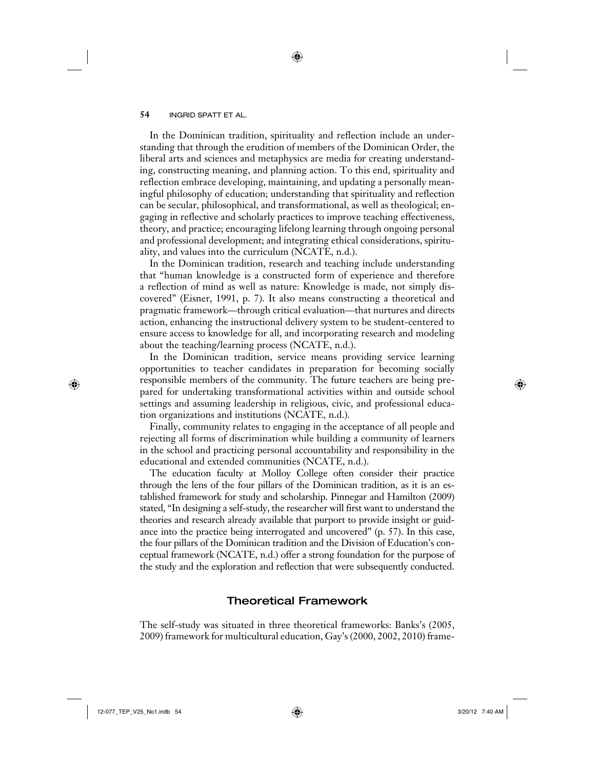In the Dominican tradition, spirituality and reflection include an understanding that through the erudition of members of the Dominican Order, the liberal arts and sciences and metaphysics are media for creating understanding, constructing meaning, and planning action. To this end, spirituality and reflection embrace developing, maintaining, and updating a personally meaningful philosophy of education; understanding that spirituality and reflection can be secular, philosophical, and transformational, as well as theological; engaging in reflective and scholarly practices to improve teaching effectiveness, theory, and practice; encouraging lifelong learning through ongoing personal and professional development; and integrating ethical considerations, spirituality, and values into the curriculum (NCATE, n.d.).

⊕

In the Dominican tradition, research and teaching include understanding that "human knowledge is a constructed form of experience and therefore a reflection of mind as well as nature: Knowledge is made, not simply discovered" (Eisner, 1991, p. 7). It also means constructing a theoretical and pragmatic framework—through critical evaluation—that nurtures and directs action, enhancing the instructional delivery system to be student-centered to ensure access to knowledge for all, and incorporating research and modeling about the teaching/learning process (NCATE, n.d.).

In the Dominican tradition, service means providing service learning opportunities to teacher candidates in preparation for becoming socially responsible members of the community. The future teachers are being prepared for undertaking transformational activities within and outside school settings and assuming leadership in religious, civic, and professional education organizations and institutions (NCATE, n.d.).

Finally, community relates to engaging in the acceptance of all people and rejecting all forms of discrimination while building a community of learners in the school and practicing personal accountability and responsibility in the educational and extended communities (NCATE, n.d.).

The education faculty at Molloy College often consider their practice through the lens of the four pillars of the Dominican tradition, as it is an established framework for study and scholarship. Pinnegar and Hamilton (2009) stated, "In designing a self-study, the researcher will first want to understand the theories and research already available that purport to provide insight or guidance into the practice being interrogated and uncovered" (p. 57). In this case, the four pillars of the Dominican tradition and the Division of Education's conceptual framework (NCATE, n.d.) offer a strong foundation for the purpose of the study and the exploration and reflection that were subsequently conducted.

## Theoretical Framework

The self-study was situated in three theoretical frameworks: Banks's (2005, 2009) framework for multicultural education, Gay's (2000, 2002, 2010) frame-

 $\bigoplus$ 

 $\bigoplus$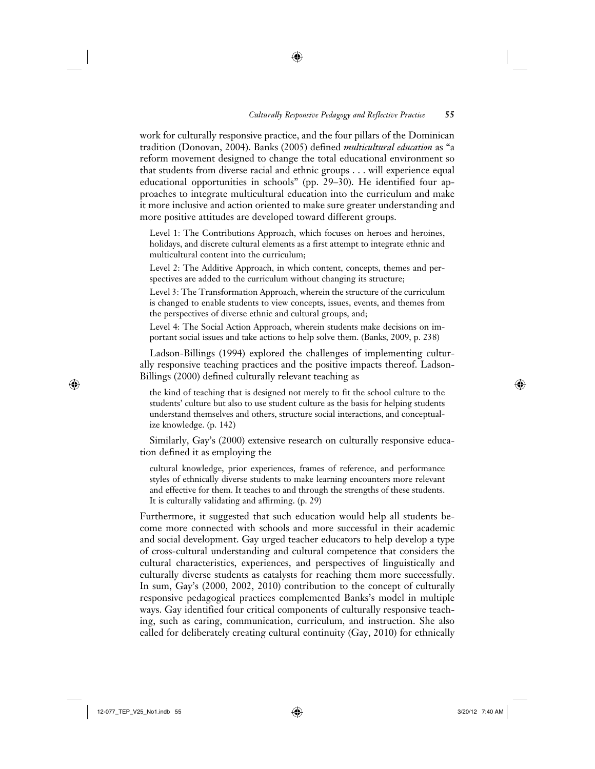work for culturally responsive practice, and the four pillars of the Dominican tradition (Donovan, 2004). Banks (2005) defined *multicultural education* as "a reform movement designed to change the total educational environment so that students from diverse racial and ethnic groups . . . will experience equal educational opportunities in schools" (pp. 29–30). He identified four approaches to integrate multicultural education into the curriculum and make it more inclusive and action oriented to make sure greater understanding and more positive attitudes are developed toward different groups.

↔

Level 1: The Contributions Approach, which focuses on heroes and heroines, holidays, and discrete cultural elements as a first attempt to integrate ethnic and multicultural content into the curriculum;

Level 2: The Additive Approach, in which content, concepts, themes and perspectives are added to the curriculum without changing its structure;

Level 3: The Transformation Approach, wherein the structure of the curriculum is changed to enable students to view concepts, issues, events, and themes from the perspectives of diverse ethnic and cultural groups, and;

Level 4: The Social Action Approach, wherein students make decisions on important social issues and take actions to help solve them. (Banks, 2009, p. 238)

Ladson-Billings (1994) explored the challenges of implementing culturally responsive teaching practices and the positive impacts thereof. Ladson-Billings (2000) defined culturally relevant teaching as

the kind of teaching that is designed not merely to fit the school culture to the students' culture but also to use student culture as the basis for helping students understand themselves and others, structure social interactions, and conceptualize knowledge. (p. 142)

Similarly, Gay's (2000) extensive research on culturally responsive education defined it as employing the

cultural knowledge, prior experiences, frames of reference, and performance styles of ethnically diverse students to make learning encounters more relevant and effective for them. It teaches to and through the strengths of these students. It is culturally validating and affirming. (p. 29)

Furthermore, it suggested that such education would help all students become more connected with schools and more successful in their academic and social development. Gay urged teacher educators to help develop a type of cross-cultural understanding and cultural competence that considers the cultural characteristics, experiences, and perspectives of linguistically and culturally diverse students as catalysts for reaching them more successfully. In sum, Gay's (2000, 2002, 2010) contribution to the concept of culturally responsive pedagogical practices complemented Banks's model in multiple ways. Gay identified four critical components of culturally responsive teaching, such as caring, communication, curriculum, and instruction. She also called for deliberately creating cultural continuity (Gay, 2010) for ethnically

 $\bigoplus$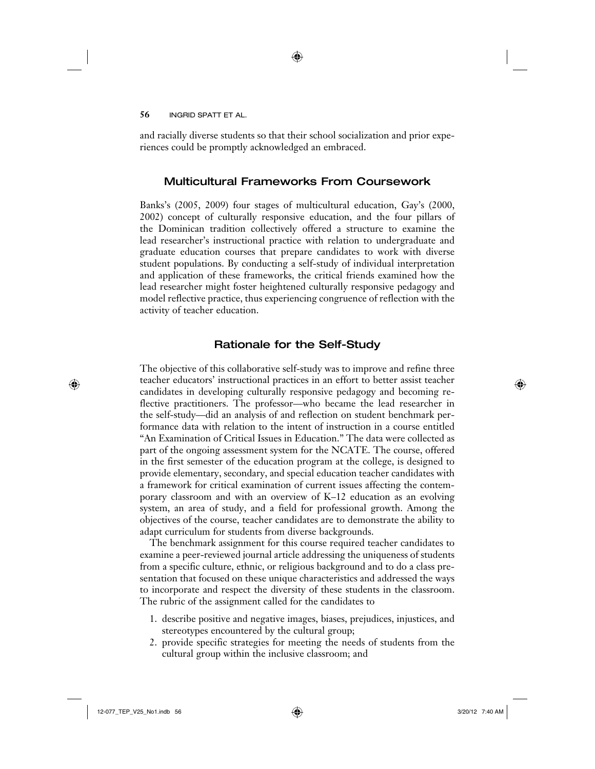and racially diverse students so that their school socialization and prior experiences could be promptly acknowledged an embraced.

↔

## Multicultural Frameworks From Coursework

Banks's (2005, 2009) four stages of multicultural education, Gay's (2000, 2002) concept of culturally responsive education, and the four pillars of the Dominican tradition collectively offered a structure to examine the lead researcher's instructional practice with relation to undergraduate and graduate education courses that prepare candidates to work with diverse student populations. By conducting a self-study of individual interpretation and application of these frameworks, the critical friends examined how the lead researcher might foster heightened culturally responsive pedagogy and model reflective practice, thus experiencing congruence of reflection with the activity of teacher education.

## Rationale for the Self-Study

The objective of this collaborative self-study was to improve and refine three teacher educators' instructional practices in an effort to better assist teacher candidates in developing culturally responsive pedagogy and becoming reflective practitioners. The professor—who became the lead researcher in the self-study—did an analysis of and reflection on student benchmark performance data with relation to the intent of instruction in a course entitled "An Examination of Critical Issues in Education." The data were collected as part of the ongoing assessment system for the NCATE. The course, offered in the first semester of the education program at the college, is designed to provide elementary, secondary, and special education teacher candidates with a framework for critical examination of current issues affecting the contemporary classroom and with an overview of K–12 education as an evolving system, an area of study, and a field for professional growth. Among the objectives of the course, teacher candidates are to demonstrate the ability to adapt curriculum for students from diverse backgrounds.

The benchmark assignment for this course required teacher candidates to examine a peer-reviewed journal article addressing the uniqueness of students from a specific culture, ethnic, or religious background and to do a class presentation that focused on these unique characteristics and addressed the ways to incorporate and respect the diversity of these students in the classroom. The rubric of the assignment called for the candidates to

- 1. describe positive and negative images, biases, prejudices, injustices, and stereotypes encountered by the cultural group;
- 2. provide specific strategies for meeting the needs of students from the cultural group within the inclusive classroom; and

#### 12-077\_TEP\_V25\_No1.indb 56 2/20/12 7:40 AM  $\bigoplus$

 $\bigoplus$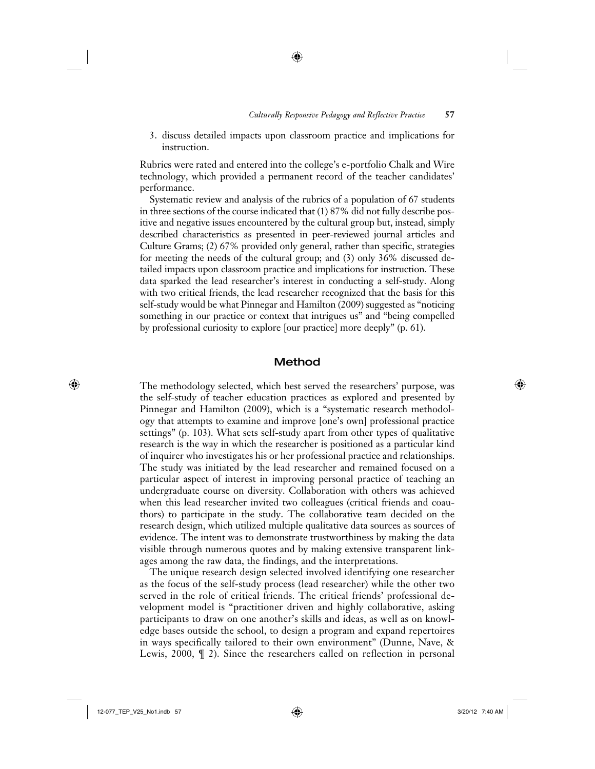#### *Culturally Responsive Pedagogy and Reflective Practice* **57**

3. discuss detailed impacts upon classroom practice and implications for instruction.

⊕

Rubrics were rated and entered into the college's e-portfolio Chalk and Wire technology, which provided a permanent record of the teacher candidates' performance.

Systematic review and analysis of the rubrics of a population of 67 students in three sections of the course indicated that (1) 87% did not fully describe positive and negative issues encountered by the cultural group but, instead, simply described characteristics as presented in peer-reviewed journal articles and Culture Grams; (2) 67% provided only general, rather than specific, strategies for meeting the needs of the cultural group; and (3) only 36% discussed detailed impacts upon classroom practice and implications for instruction. These data sparked the lead researcher's interest in conducting a self-study. Along with two critical friends, the lead researcher recognized that the basis for this self-study would be what Pinnegar and Hamilton (2009) suggested as "noticing something in our practice or context that intrigues us" and "being compelled by professional curiosity to explore [our practice] more deeply" (p. 61).

#### Method

The methodology selected, which best served the researchers' purpose, was the self-study of teacher education practices as explored and presented by Pinnegar and Hamilton (2009), which is a "systematic research methodology that attempts to examine and improve [one's own] professional practice settings" (p. 103). What sets self-study apart from other types of qualitative research is the way in which the researcher is positioned as a particular kind of inquirer who investigates his or her professional practice and relationships. The study was initiated by the lead researcher and remained focused on a particular aspect of interest in improving personal practice of teaching an undergraduate course on diversity. Collaboration with others was achieved when this lead researcher invited two colleagues (critical friends and coauthors) to participate in the study. The collaborative team decided on the research design, which utilized multiple qualitative data sources as sources of evidence. The intent was to demonstrate trustworthiness by making the data visible through numerous quotes and by making extensive transparent linkages among the raw data, the findings, and the interpretations.

The unique research design selected involved identifying one researcher as the focus of the self-study process (lead researcher) while the other two served in the role of critical friends. The critical friends' professional development model is "practitioner driven and highly collaborative, asking participants to draw on one another's skills and ideas, as well as on knowledge bases outside the school, to design a program and expand repertoires in ways specifically tailored to their own environment" (Dunne, Nave, & Lewis, 2000, ¶ 2). Since the researchers called on reflection in personal

 $\bigoplus$ 

 $\bigoplus$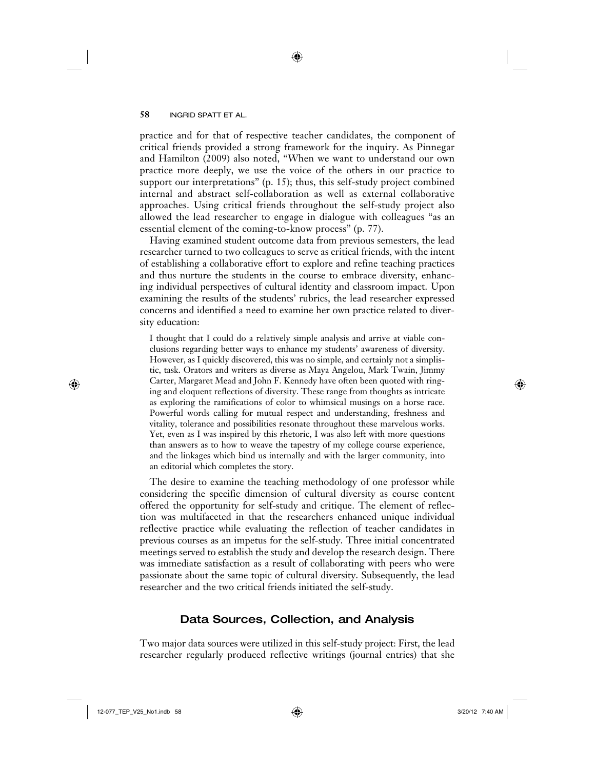practice and for that of respective teacher candidates, the component of critical friends provided a strong framework for the inquiry. As Pinnegar and Hamilton (2009) also noted, "When we want to understand our own practice more deeply, we use the voice of the others in our practice to support our interpretations" (p. 15); thus, this self-study project combined internal and abstract self-collaboration as well as external collaborative approaches. Using critical friends throughout the self-study project also allowed the lead researcher to engage in dialogue with colleagues "as an essential element of the coming-to-know process" (p. 77).

↔

Having examined student outcome data from previous semesters, the lead researcher turned to two colleagues to serve as critical friends, with the intent of establishing a collaborative effort to explore and refine teaching practices and thus nurture the students in the course to embrace diversity, enhancing individual perspectives of cultural identity and classroom impact. Upon examining the results of the students' rubrics, the lead researcher expressed concerns and identified a need to examine her own practice related to diversity education:

I thought that I could do a relatively simple analysis and arrive at viable conclusions regarding better ways to enhance my students' awareness of diversity. However, as I quickly discovered, this was no simple, and certainly not a simplistic, task. Orators and writers as diverse as Maya Angelou, Mark Twain, Jimmy Carter, Margaret Mead and John F. Kennedy have often been quoted with ringing and eloquent reflections of diversity. These range from thoughts as intricate as exploring the ramifications of color to whimsical musings on a horse race. Powerful words calling for mutual respect and understanding, freshness and vitality, tolerance and possibilities resonate throughout these marvelous works. Yet, even as I was inspired by this rhetoric, I was also left with more questions than answers as to how to weave the tapestry of my college course experience, and the linkages which bind us internally and with the larger community, into an editorial which completes the story.

The desire to examine the teaching methodology of one professor while considering the specific dimension of cultural diversity as course content offered the opportunity for self-study and critique. The element of reflection was multifaceted in that the researchers enhanced unique individual reflective practice while evaluating the reflection of teacher candidates in previous courses as an impetus for the self-study. Three initial concentrated meetings served to establish the study and develop the research design. There was immediate satisfaction as a result of collaborating with peers who were passionate about the same topic of cultural diversity. Subsequently, the lead researcher and the two critical friends initiated the self-study.

### Data Sources, Collection, and Analysis

Two major data sources were utilized in this self-study project: First, the lead researcher regularly produced reflective writings (journal entries) that she

 $\bigoplus$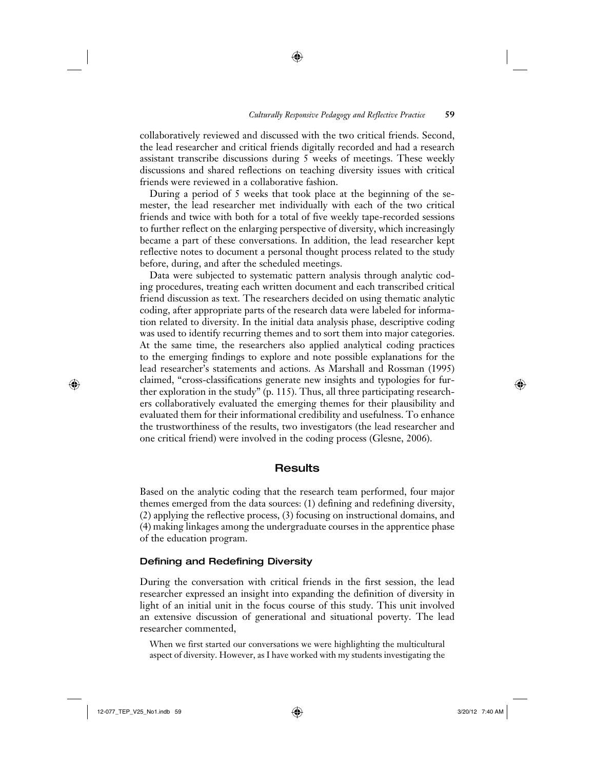collaboratively reviewed and discussed with the two critical friends. Second, the lead researcher and critical friends digitally recorded and had a research assistant transcribe discussions during 5 weeks of meetings. These weekly discussions and shared reflections on teaching diversity issues with critical friends were reviewed in a collaborative fashion.

⊕

During a period of 5 weeks that took place at the beginning of the semester, the lead researcher met individually with each of the two critical friends and twice with both for a total of five weekly tape-recorded sessions to further reflect on the enlarging perspective of diversity, which increasingly became a part of these conversations. In addition, the lead researcher kept reflective notes to document a personal thought process related to the study before, during, and after the scheduled meetings.

Data were subjected to systematic pattern analysis through analytic coding procedures, treating each written document and each transcribed critical friend discussion as text. The researchers decided on using thematic analytic coding, after appropriate parts of the research data were labeled for information related to diversity. In the initial data analysis phase, descriptive coding was used to identify recurring themes and to sort them into major categories. At the same time, the researchers also applied analytical coding practices to the emerging findings to explore and note possible explanations for the lead researcher's statements and actions. As Marshall and Rossman (1995) claimed, "cross-classifications generate new insights and typologies for further exploration in the study" (p. 115). Thus, all three participating researchers collaboratively evaluated the emerging themes for their plausibility and evaluated them for their informational credibility and usefulness. To enhance the trustworthiness of the results, two investigators (the lead researcher and one critical friend) were involved in the coding process (Glesne, 2006).

#### Results

Based on the analytic coding that the research team performed, four major themes emerged from the data sources: (1) defining and redefining diversity, (2) applying the reflective process, (3) focusing on instructional domains, and (4) making linkages among the undergraduate courses in the apprentice phase of the education program.

#### Defining and Redefining Diversity

During the conversation with critical friends in the first session, the lead researcher expressed an insight into expanding the definition of diversity in light of an initial unit in the focus course of this study. This unit involved an extensive discussion of generational and situational poverty. The lead researcher commented,

When we first started our conversations we were highlighting the multicultural aspect of diversity. However, as I have worked with my students investigating the

 $\bigoplus$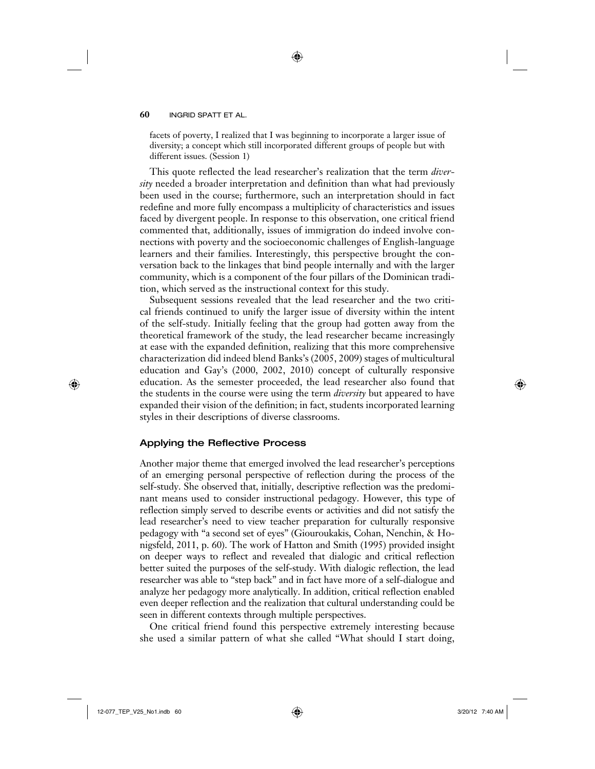facets of poverty, I realized that I was beginning to incorporate a larger issue of diversity; a concept which still incorporated different groups of people but with different issues. (Session 1)

⊕

This quote reflected the lead researcher's realization that the term *diversity* needed a broader interpretation and definition than what had previously been used in the course; furthermore, such an interpretation should in fact redefine and more fully encompass a multiplicity of characteristics and issues faced by divergent people. In response to this observation, one critical friend commented that, additionally, issues of immigration do indeed involve connections with poverty and the socioeconomic challenges of English-language learners and their families. Interestingly, this perspective brought the conversation back to the linkages that bind people internally and with the larger community, which is a component of the four pillars of the Dominican tradition, which served as the instructional context for this study.

Subsequent sessions revealed that the lead researcher and the two critical friends continued to unify the larger issue of diversity within the intent of the self-study. Initially feeling that the group had gotten away from the theoretical framework of the study, the lead researcher became increasingly at ease with the expanded definition, realizing that this more comprehensive characterization did indeed blend Banks's (2005, 2009) stages of multicultural education and Gay's (2000, 2002, 2010) concept of culturally responsive education. As the semester proceeded, the lead researcher also found that the students in the course were using the term *diversity* but appeared to have expanded their vision of the definition; in fact, students incorporated learning styles in their descriptions of diverse classrooms.

#### Applying the Reflective Process

Another major theme that emerged involved the lead researcher's perceptions of an emerging personal perspective of reflection during the process of the self-study. She observed that, initially, descriptive reflection was the predominant means used to consider instructional pedagogy. However, this type of reflection simply served to describe events or activities and did not satisfy the lead researcher's need to view teacher preparation for culturally responsive pedagogy with "a second set of eyes" (Giouroukakis, Cohan, Nenchin, & Honigsfeld, 2011, p. 60). The work of Hatton and Smith (1995) provided insight on deeper ways to reflect and revealed that dialogic and critical reflection better suited the purposes of the self-study. With dialogic reflection, the lead researcher was able to "step back" and in fact have more of a self-dialogue and analyze her pedagogy more analytically. In addition, critical reflection enabled even deeper reflection and the realization that cultural understanding could be seen in different contexts through multiple perspectives.

One critical friend found this perspective extremely interesting because she used a similar pattern of what she called "What should I start doing,

 $\bigoplus$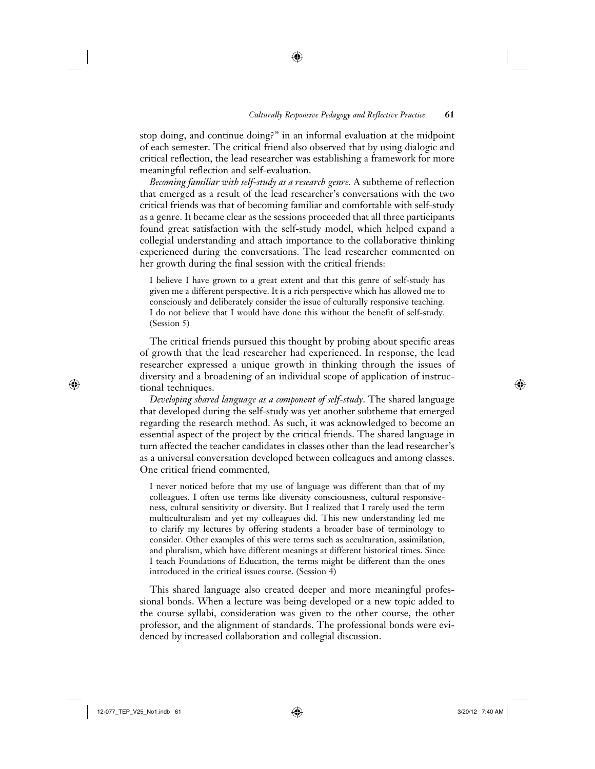stop doing, and continue doing?" in an informal evaluation at the midpoint of each semester. The critical friend also observed that by using dialogic and critical reflection, the lead researcher was establishing a framework for more meaningful reflection and self-evaluation.

↔

*Becoming familiar with self-study as a research genre.* A subtheme of reflection that emerged as a result of the lead researcher's conversations with the two critical friends was that of becoming familiar and comfortable with self-study as a genre. It became clear as the sessions proceeded that all three participants found great satisfaction with the self-study model, which helped expand a collegial understanding and attach importance to the collaborative thinking experienced during the conversations. The lead researcher commented on her growth during the final session with the critical friends:

I believe I have grown to a great extent and that this genre of self-study has given me a different perspective. It is a rich perspective which has allowed me to consciously and deliberately consider the issue of culturally responsive teaching. I do not believe that I would have done this without the benefit of self-study. (Session 5)

The critical friends pursued this thought by probing about specific areas of growth that the lead researcher had experienced. In response, the lead researcher expressed a unique growth in thinking through the issues of diversity and a broadening of an individual scope of application of instructional techniques.

*Developing shared language as a component of self-study*. The shared language that developed during the self-study was yet another subtheme that emerged regarding the research method. As such, it was acknowledged to become an essential aspect of the project by the critical friends. The shared language in turn affected the teacher candidates in classes other than the lead researcher's as a universal conversation developed between colleagues and among classes. One critical friend commented,

I never noticed before that my use of language was different than that of my colleagues. I often use terms like diversity consciousness, cultural responsiveness, cultural sensitivity or diversity. But I realized that I rarely used the term multiculturalism and yet my colleagues did. This new understanding led me to clarify my lectures by offering students a broader base of terminology to consider. Other examples of this were terms such as acculturation, assimilation, and pluralism, which have different meanings at different historical times. Since I teach Foundations of Education, the terms might be different than the ones introduced in the critical issues course. (Session 4)

This shared language also created deeper and more meaningful professional bonds. When a lecture was being developed or a new topic added to the course syllabi, consideration was given to the other course, the other professor, and the alignment of standards. The professional bonds were evidenced by increased collaboration and collegial discussion.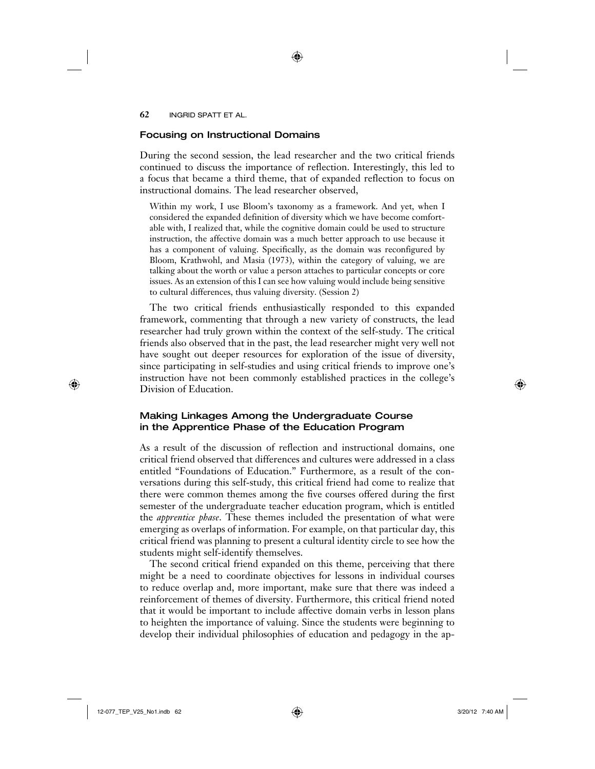#### Focusing on Instructional Domains

During the second session, the lead researcher and the two critical friends continued to discuss the importance of reflection. Interestingly, this led to a focus that became a third theme, that of expanded reflection to focus on instructional domains. The lead researcher observed,

Within my work, I use Bloom's taxonomy as a framework. And yet, when I considered the expanded definition of diversity which we have become comfortable with, I realized that, while the cognitive domain could be used to structure instruction, the affective domain was a much better approach to use because it has a component of valuing. Specifically, as the domain was reconfigured by Bloom, Krathwohl, and Masia (1973), within the category of valuing, we are talking about the worth or value a person attaches to particular concepts or core issues. As an extension of this I can see how valuing would include being sensitive to cultural differences, thus valuing diversity. (Session 2)

The two critical friends enthusiastically responded to this expanded framework, commenting that through a new variety of constructs, the lead researcher had truly grown within the context of the self-study. The critical friends also observed that in the past, the lead researcher might very well not have sought out deeper resources for exploration of the issue of diversity, since participating in self-studies and using critical friends to improve one's instruction have not been commonly established practices in the college's Division of Education.

## Making Linkages Among the Undergraduate Course in the Apprentice Phase of the Education Program

As a result of the discussion of reflection and instructional domains, one critical friend observed that differences and cultures were addressed in a class entitled "Foundations of Education." Furthermore, as a result of the conversations during this self-study, this critical friend had come to realize that there were common themes among the five courses offered during the first semester of the undergraduate teacher education program, which is entitled the *apprentice phase*. These themes included the presentation of what were emerging as overlaps of information. For example, on that particular day, this critical friend was planning to present a cultural identity circle to see how the students might self-identify themselves.

The second critical friend expanded on this theme, perceiving that there might be a need to coordinate objectives for lessons in individual courses to reduce overlap and, more important, make sure that there was indeed a reinforcement of themes of diversity. Furthermore, this critical friend noted that it would be important to include affective domain verbs in lesson plans to heighten the importance of valuing. Since the students were beginning to develop their individual philosophies of education and pedagogy in the ap-

12-077\_TEP\_V25\_No1.indb 62 3/20/12 7:40 AM

 $\bigoplus$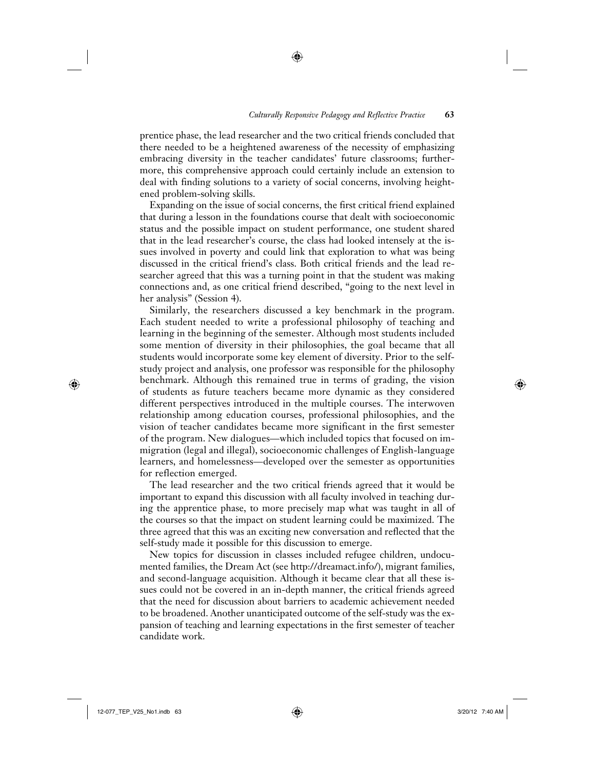prentice phase, the lead researcher and the two critical friends concluded that there needed to be a heightened awareness of the necessity of emphasizing embracing diversity in the teacher candidates' future classrooms; furthermore, this comprehensive approach could certainly include an extension to deal with finding solutions to a variety of social concerns, involving heightened problem-solving skills.

↔

Expanding on the issue of social concerns, the first critical friend explained that during a lesson in the foundations course that dealt with socioeconomic status and the possible impact on student performance, one student shared that in the lead researcher's course, the class had looked intensely at the issues involved in poverty and could link that exploration to what was being discussed in the critical friend's class. Both critical friends and the lead researcher agreed that this was a turning point in that the student was making connections and, as one critical friend described, "going to the next level in her analysis" (Session 4).

Similarly, the researchers discussed a key benchmark in the program. Each student needed to write a professional philosophy of teaching and learning in the beginning of the semester. Although most students included some mention of diversity in their philosophies, the goal became that all students would incorporate some key element of diversity. Prior to the selfstudy project and analysis, one professor was responsible for the philosophy benchmark. Although this remained true in terms of grading, the vision of students as future teachers became more dynamic as they considered different perspectives introduced in the multiple courses. The interwoven relationship among education courses, professional philosophies, and the vision of teacher candidates became more significant in the first semester of the program. New dialogues—which included topics that focused on immigration (legal and illegal), socioeconomic challenges of English-language learners, and homelessness—developed over the semester as opportunities for reflection emerged.

The lead researcher and the two critical friends agreed that it would be important to expand this discussion with all faculty involved in teaching during the apprentice phase, to more precisely map what was taught in all of the courses so that the impact on student learning could be maximized. The three agreed that this was an exciting new conversation and reflected that the self-study made it possible for this discussion to emerge.

New topics for discussion in classes included refugee children, undocumented families, the Dream Act (see http://dreamact.info/), migrant families, and second-language acquisition. Although it became clear that all these issues could not be covered in an in-depth manner, the critical friends agreed that the need for discussion about barriers to academic achievement needed to be broadened. Another unanticipated outcome of the self-study was the expansion of teaching and learning expectations in the first semester of teacher candidate work.

 $\bigoplus$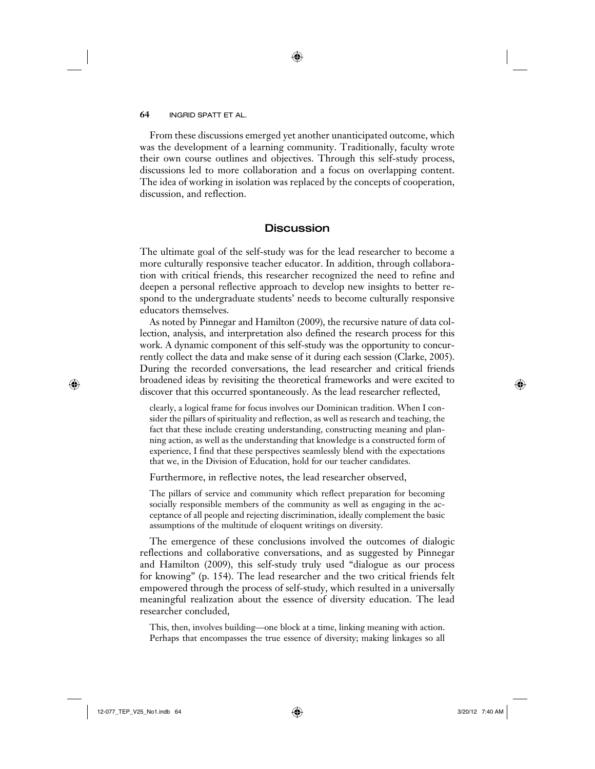From these discussions emerged yet another unanticipated outcome, which was the development of a learning community. Traditionally, faculty wrote their own course outlines and objectives. Through this self-study process, discussions led to more collaboration and a focus on overlapping content. The idea of working in isolation was replaced by the concepts of cooperation, discussion, and reflection.

#### **Discussion**

The ultimate goal of the self-study was for the lead researcher to become a more culturally responsive teacher educator. In addition, through collaboration with critical friends, this researcher recognized the need to refine and deepen a personal reflective approach to develop new insights to better respond to the undergraduate students' needs to become culturally responsive educators themselves.

As noted by Pinnegar and Hamilton (2009), the recursive nature of data collection, analysis, and interpretation also defined the research process for this work. A dynamic component of this self-study was the opportunity to concurrently collect the data and make sense of it during each session (Clarke, 2005). During the recorded conversations, the lead researcher and critical friends broadened ideas by revisiting the theoretical frameworks and were excited to discover that this occurred spontaneously. As the lead researcher reflected,

clearly, a logical frame for focus involves our Dominican tradition. When I consider the pillars of spirituality and reflection, as well as research and teaching, the fact that these include creating understanding, constructing meaning and planning action, as well as the understanding that knowledge is a constructed form of experience, I find that these perspectives seamlessly blend with the expectations that we, in the Division of Education, hold for our teacher candidates.

Furthermore, in reflective notes, the lead researcher observed,

The pillars of service and community which reflect preparation for becoming socially responsible members of the community as well as engaging in the acceptance of all people and rejecting discrimination, ideally complement the basic assumptions of the multitude of eloquent writings on diversity.

The emergence of these conclusions involved the outcomes of dialogic reflections and collaborative conversations, and as suggested by Pinnegar and Hamilton (2009), this self-study truly used "dialogue as our process for knowing" (p. 154). The lead researcher and the two critical friends felt empowered through the process of self-study, which resulted in a universally meaningful realization about the essence of diversity education. The lead researcher concluded,

This, then, involves building—one block at a time, linking meaning with action. Perhaps that encompasses the true essence of diversity; making linkages so all

 $\bigoplus$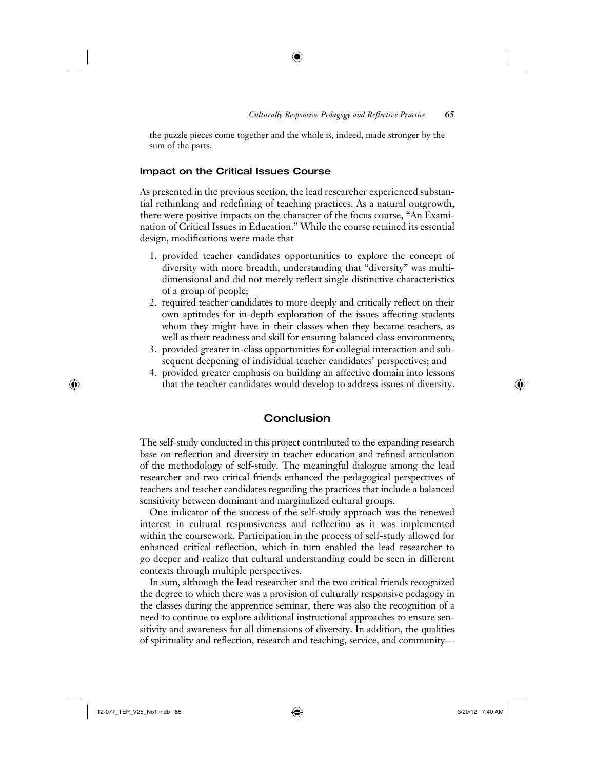the puzzle pieces come together and the whole is, indeed, made stronger by the sum of the parts.

⊕

#### Impact on the Critical Issues Course

As presented in the previous section, the lead researcher experienced substantial rethinking and redefining of teaching practices. As a natural outgrowth, there were positive impacts on the character of the focus course, "An Examination of Critical Issues in Education." While the course retained its essential design, modifications were made that

- 1. provided teacher candidates opportunities to explore the concept of diversity with more breadth, understanding that "diversity" was multidimensional and did not merely reflect single distinctive characteristics of a group of people;
- 2. required teacher candidates to more deeply and critically reflect on their own aptitudes for in-depth exploration of the issues affecting students whom they might have in their classes when they became teachers, as well as their readiness and skill for ensuring balanced class environments;
- 3. provided greater in-class opportunities for collegial interaction and subsequent deepening of individual teacher candidates' perspectives; and
- 4. provided greater emphasis on building an affective domain into lessons that the teacher candidates would develop to address issues of diversity.

## **Conclusion**

The self-study conducted in this project contributed to the expanding research base on reflection and diversity in teacher education and refined articulation of the methodology of self-study. The meaningful dialogue among the lead researcher and two critical friends enhanced the pedagogical perspectives of teachers and teacher candidates regarding the practices that include a balanced sensitivity between dominant and marginalized cultural groups.

One indicator of the success of the self-study approach was the renewed interest in cultural responsiveness and reflection as it was implemented within the coursework. Participation in the process of self-study allowed for enhanced critical reflection, which in turn enabled the lead researcher to go deeper and realize that cultural understanding could be seen in different contexts through multiple perspectives.

In sum, although the lead researcher and the two critical friends recognized the degree to which there was a provision of culturally responsive pedagogy in the classes during the apprentice seminar, there was also the recognition of a need to continue to explore additional instructional approaches to ensure sensitivity and awareness for all dimensions of diversity. In addition, the qualities of spirituality and reflection, research and teaching, service, and community—

⊕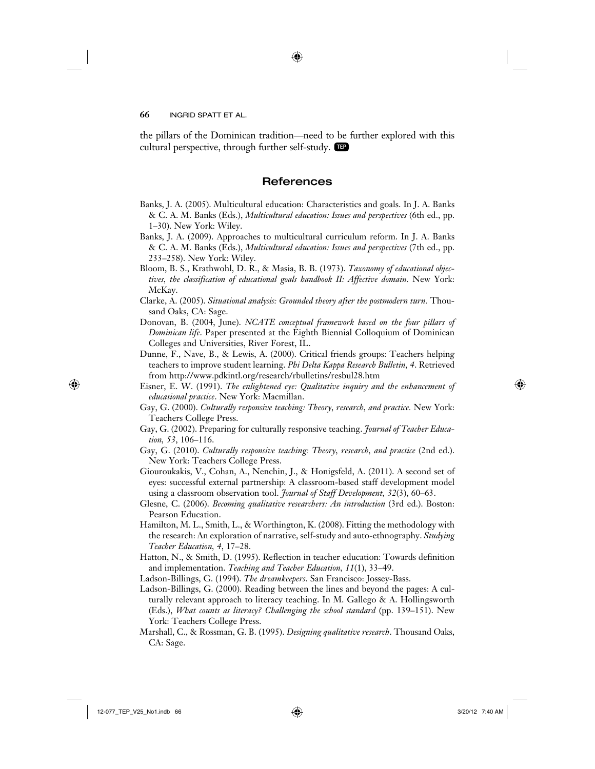the pillars of the Dominican tradition—need to be further explored with this cultural perspective, through further self-study. TEP

⊕

### **References**

- Banks, J. A. (2005). Multicultural education: Characteristics and goals. In J. A. Banks & C. A. M. Banks (Eds.), *Multicultural education: Issues and perspectives* (6th ed., pp. 1–30). New York: Wiley.
- Banks, J. A. (2009). Approaches to multicultural curriculum reform. In J. A. Banks & C. A. M. Banks (Eds.), *Multicultural education: Issues and perspectives* (7th ed., pp. 233–258). New York: Wiley.
- Bloom, B. S., Krathwohl, D. R., & Masia, B. B. (1973). *Taxonomy of educational objectives, the classification of educational goals handbook II: Affective domain.* New York: McKay.
- Clarke, A. (2005). *Situational analysis: Grounded theory after the postmodern turn.* Thousand Oaks, CA: Sage.
- Donovan, B. (2004, June). *NCATE conceptual framework based on the four pillars of Dominican life*. Paper presented at the Eighth Biennial Colloquium of Dominican Colleges and Universities, River Forest, IL.
- Dunne, F., Nave, B., & Lewis, A. (2000). Critical friends groups: Teachers helping teachers to improve student learning. *Phi Delta Kappa Research Bulletin, 4*. Retrieved from http://www.pdkintl.org/research/rbulletins/resbul28.htm
- Eisner, E. W. (1991). *The enlightened eye: Qualitative inquiry and the enhancement of educational practice*. New York: Macmillan.
- Gay, G. (2000). *Culturally responsive teaching: Theory, research, and practice.* New York: Teachers College Press.
- Gay, G. (2002). Preparing for culturally responsive teaching. *Journal of Teacher Education, 53*, 106–116.
- Gay, G. (2010). *Culturally responsive teaching: Theory, research, and practice* (2nd ed.). New York: Teachers College Press.
- Giouroukakis, V., Cohan, A., Nenchin, J., & Honigsfeld, A. (2011). A second set of eyes: successful external partnership: A classroom-based staff development model using a classroom observation tool. *Journal of Staff Development, 32*(3), 60–63.
- Glesne, C. (2006). *Becoming qualitative researchers: An introduction* (3rd ed.). Boston: Pearson Education.
- Hamilton, M. L., Smith, L., & Worthington, K. (2008). Fitting the methodology with the research: An exploration of narrative, self-study and auto-ethnography. *Studying Teacher Education, 4*, 17–28.
- Hatton, N., & Smith, D. (1995). Reflection in teacher education: Towards definition and implementation. *Teaching and Teacher Education, 11*(1), 33–49.
- Ladson-Billings, G. (1994). *The dreamkeepers*. San Francisco: Jossey-Bass.
- Ladson-Billings, G. (2000). Reading between the lines and beyond the pages: A culturally relevant approach to literacy teaching. In M. Gallego & A. Hollingsworth (Eds.), *What counts as literacy? Challenging the school standard* (pp. 139–151). New York: Teachers College Press.
- Marshall, C., & Rossman, G. B. (1995). *Designing qualitative research*. Thousand Oaks, CA: Sage.

 $\bigoplus$ 

12-077\_TEP\_V25\_No1.indb 66 3/20/12 7:40 AM